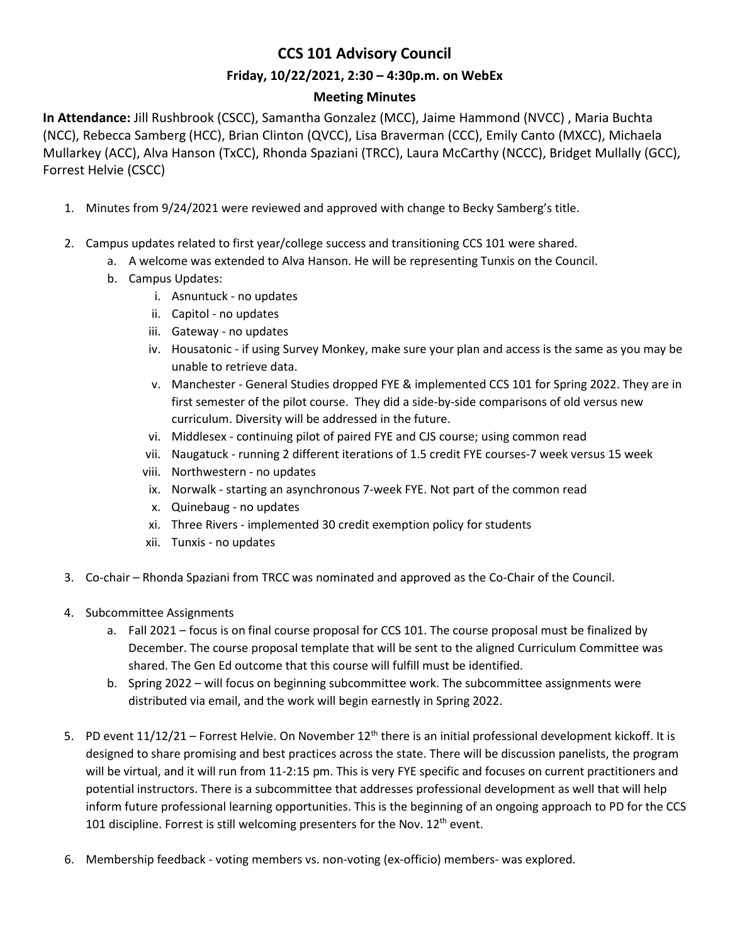# **CCS 101 Advisory Council**

### **Friday, 10/22/2021, 2:30 – 4:30p.m. on WebEx**

## **Meeting Minutes**

**In Attendance:** Jill Rushbrook (CSCC), Samantha Gonzalez (MCC), Jaime Hammond (NVCC) , Maria Buchta (NCC), Rebecca Samberg (HCC), Brian Clinton (QVCC), Lisa Braverman (CCC), Emily Canto (MXCC), Michaela Mullarkey (ACC), Alva Hanson (TxCC), Rhonda Spaziani (TRCC), Laura McCarthy (NCCC), Bridget Mullally (GCC), Forrest Helvie (CSCC)

- 1. Minutes from 9/24/2021 were reviewed and approved with change to Becky Samberg's title.
- 2. Campus updates related to first year/college success and transitioning CCS 101 were shared.
	- a. A welcome was extended to Alva Hanson. He will be representing Tunxis on the Council.
	- b. Campus Updates:
		- i. Asnuntuck no updates
		- ii. Capitol no updates
		- iii. Gateway no updates
		- iv. Housatonic if using Survey Monkey, make sure your plan and access is the same as you may be unable to retrieve data.
		- v. Manchester General Studies dropped FYE & implemented CCS 101 for Spring 2022. They are in first semester of the pilot course. They did a side-by-side comparisons of old versus new curriculum. Diversity will be addressed in the future.
		- vi. Middlesex continuing pilot of paired FYE and CJS course; using common read
		- vii. Naugatuck running 2 different iterations of 1.5 credit FYE courses-7 week versus 15 week
		- viii. Northwestern no updates
		- ix. Norwalk starting an asynchronous 7-week FYE. Not part of the common read
		- x. Quinebaug no updates
		- xi. Three Rivers implemented 30 credit exemption policy for students
		- xii. Tunxis no updates
- 3. Co-chair Rhonda Spaziani from TRCC was nominated and approved as the Co-Chair of the Council.
- 4. Subcommittee Assignments
	- a. Fall 2021 focus is on final course proposal for CCS 101. The course proposal must be finalized by December. The course proposal template that will be sent to the aligned Curriculum Committee was shared. The Gen Ed outcome that this course will fulfill must be identified.
	- b. Spring 2022 will focus on beginning subcommittee work. The subcommittee assignments were distributed via email, and the work will begin earnestly in Spring 2022.
- 5. PD event  $11/12/21$  Forrest Helvie. On November  $12<sup>th</sup>$  there is an initial professional development kickoff. It is designed to share promising and best practices across the state. There will be discussion panelists, the program will be virtual, and it will run from 11-2:15 pm. This is very FYE specific and focuses on current practitioners and potential instructors. There is a subcommittee that addresses professional development as well that will help inform future professional learning opportunities. This is the beginning of an ongoing approach to PD for the CCS 101 discipline. Forrest is still welcoming presenters for the Nov. 12<sup>th</sup> event.
- 6. Membership feedback voting members vs. non-voting (ex-officio) members- was explored.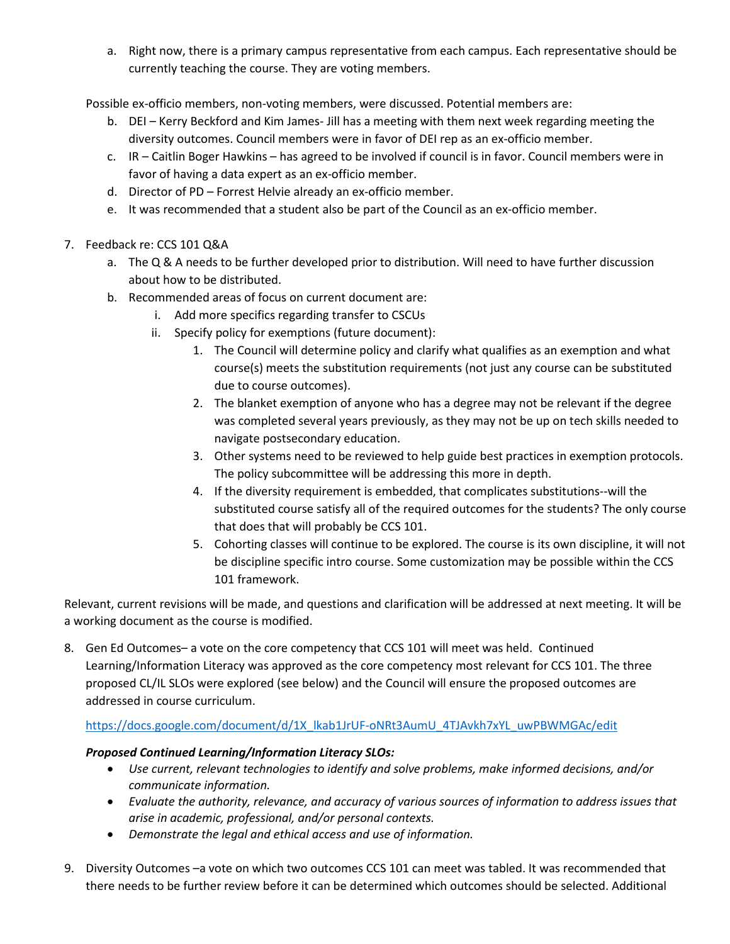a. Right now, there is a primary campus representative from each campus. Each representative should be currently teaching the course. They are voting members.

Possible ex-officio members, non-voting members, were discussed. Potential members are:

- b. DEI Kerry Beckford and Kim James- Jill has a meeting with them next week regarding meeting the diversity outcomes. Council members were in favor of DEI rep as an ex-officio member.
- c. IR Caitlin Boger Hawkins has agreed to be involved if council is in favor. Council members were in favor of having a data expert as an ex-officio member.
- d. Director of PD Forrest Helvie already an ex-officio member.
- e. It was recommended that a student also be part of the Council as an ex-officio member.
- 7. Feedback re: CCS 101 Q&A
	- a. The Q & A needs to be further developed prior to distribution. Will need to have further discussion about how to be distributed.
	- b. Recommended areas of focus on current document are:
		- i. Add more specifics regarding transfer to CSCUs
		- ii. Specify policy for exemptions (future document):
			- 1. The Council will determine policy and clarify what qualifies as an exemption and what course(s) meets the substitution requirements (not just any course can be substituted due to course outcomes).
			- 2. The blanket exemption of anyone who has a degree may not be relevant if the degree was completed several years previously, as they may not be up on tech skills needed to navigate postsecondary education.
			- 3. Other systems need to be reviewed to help guide best practices in exemption protocols. The policy subcommittee will be addressing this more in depth.
			- 4. If the diversity requirement is embedded, that complicates substitutions--will the substituted course satisfy all of the required outcomes for the students? The only course that does that will probably be CCS 101.
			- 5. Cohorting classes will continue to be explored. The course is its own discipline, it will not be discipline specific intro course. Some customization may be possible within the CCS 101 framework.

Relevant, current revisions will be made, and questions and clarification will be addressed at next meeting. It will be a working document as the course is modified.

8. Gen Ed Outcomes– a vote on the core competency that CCS 101 will meet was held. Continued Learning/Information Literacy was approved as the core competency most relevant for CCS 101. The three proposed CL/IL SLOs were explored (see below) and the Council will ensure the proposed outcomes are addressed in course curriculum.

#### [https://docs.google.com/document/d/1X\\_lkab1JrUF-oNRt3AumU\\_4TJAvkh7xYL\\_uwPBWMGAc/edit](https://docs.google.com/document/d/1X_lkab1JrUF-oNRt3AumU_4TJAvkh7xYL_uwPBWMGAc/edit)

#### *Proposed Continued Learning/Information Literacy SLOs:*

- Use current, relevant technologies to identify and solve problems, make informed decisions, and/or *communicate information.*
- *Evaluate the authority, relevance, and accuracy of various sources of information to address issues that arise in academic, professional, and/or personal contexts.*
- *Demonstrate the legal and ethical access and use of information.*
- 9. Diversity Outcomes –a vote on which two outcomes CCS 101 can meet was tabled. It was recommended that there needs to be further review before it can be determined which outcomes should be selected. Additional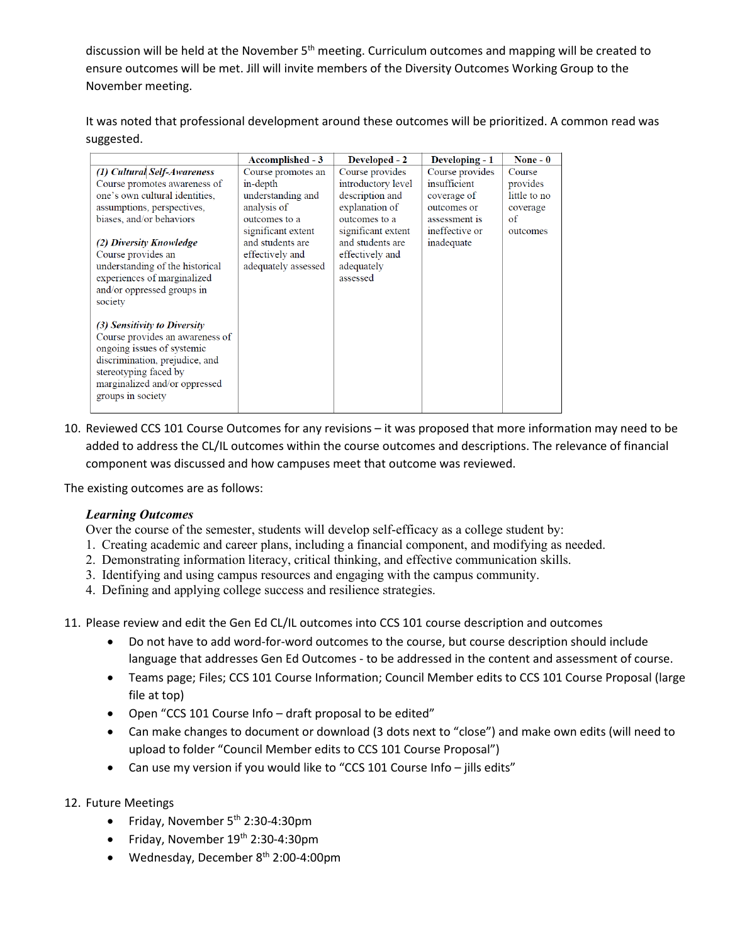discussion will be held at the November 5<sup>th</sup> meeting. Curriculum outcomes and mapping will be created to ensure outcomes will be met. Jill will invite members of the Diversity Outcomes Working Group to the November meeting.

It was noted that professional development around these outcomes will be prioritized. A common read was suggested.

|                                                                                                                                                                                                                | Accomplished - 3    | Developed - 2      | Developing - 1  | None $-0$    |
|----------------------------------------------------------------------------------------------------------------------------------------------------------------------------------------------------------------|---------------------|--------------------|-----------------|--------------|
| (1) Cultural Self-Awareness                                                                                                                                                                                    | Course promotes an  | Course provides    | Course provides | Course       |
| Course promotes awareness of                                                                                                                                                                                   | in-depth            | introductory level | insufficient    | provides     |
| one's own cultural identities,                                                                                                                                                                                 | understanding and   | description and    | coverage of     | little to no |
| assumptions, perspectives,                                                                                                                                                                                     | analysis of         | explanation of     | outcomes or     | coverage     |
| biases, and/or behaviors                                                                                                                                                                                       | outcomes to a       | outcomes to a      | assessment is   | of           |
|                                                                                                                                                                                                                | significant extent  | significant extent | ineffective or  | outcomes     |
| (2) Diversity Knowledge                                                                                                                                                                                        | and students are    | and students are   | inadequate      |              |
| Course provides an                                                                                                                                                                                             | effectively and     | effectively and    |                 |              |
| understanding of the historical                                                                                                                                                                                | adequately assessed | adequately         |                 |              |
| experiences of marginalized                                                                                                                                                                                    |                     | assessed           |                 |              |
| and/or oppressed groups in                                                                                                                                                                                     |                     |                    |                 |              |
| society                                                                                                                                                                                                        |                     |                    |                 |              |
| (3) Sensitivity to Diversity<br>Course provides an awareness of<br>ongoing issues of systemic<br>discrimination, prejudice, and<br>stereotyping faced by<br>marginalized and/or oppressed<br>groups in society |                     |                    |                 |              |

10. Reviewed CCS 101 Course Outcomes for any revisions – it was proposed that more information may need to be added to address the CL/IL outcomes within the course outcomes and descriptions. The relevance of financial component was discussed and how campuses meet that outcome was reviewed.

The existing outcomes are as follows:

#### *Learning Outcomes*

Over the course of the semester, students will develop self-efficacy as a college student by:

- 1. Creating academic and career plans, including a financial component, and modifying as needed.
- 2. Demonstrating information literacy, critical thinking, and effective communication skills.
- 3. Identifying and using campus resources and engaging with the campus community.
- 4. Defining and applying college success and resilience strategies.

11. Please review and edit the Gen Ed CL/IL outcomes into CCS 101 course description and outcomes

- Do not have to add word-for-word outcomes to the course, but course description should include language that addresses Gen Ed Outcomes - to be addressed in the content and assessment of course.
- Teams page; Files; CCS 101 Course Information; Council Member edits to CCS 101 Course Proposal (large file at top)
- Open "CCS 101 Course Info draft proposal to be edited"
- Can make changes to document or download (3 dots next to "close") and make own edits (will need to upload to folder "Council Member edits to CCS 101 Course Proposal")
- Can use my version if you would like to "CCS 101 Course Info jills edits"

#### 12. Future Meetings

- Friday, November  $5<sup>th</sup>$  2:30-4:30pm
- Friday, November 19<sup>th</sup> 2:30-4:30pm
- Wednesday, December 8<sup>th</sup> 2:00-4:00pm